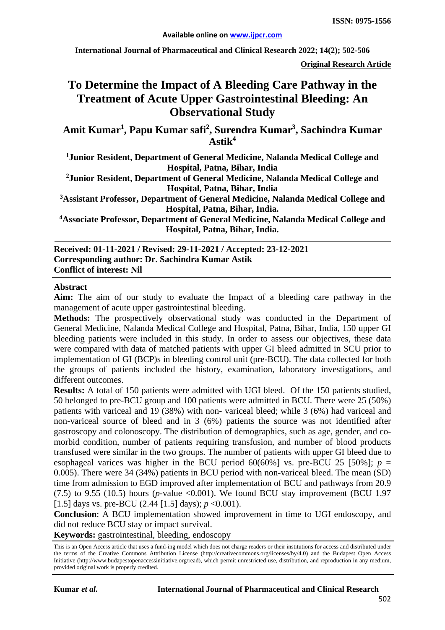**International Journal of Pharmaceutical and Clinical Research 2022; 14(2); 502-506**

**Original Research Article**

# **To Determine the Impact of A Bleeding Care Pathway in the Treatment of Acute Upper Gastrointestinal Bleeding: An Observational Study**

Amit Kumar<sup>1</sup>, Papu Kumar safi<sup>2</sup>, Surendra Kumar<sup>3</sup>, Sachindra Kumar **Astik<sup>4</sup>**

**1 Junior Resident, Department of General Medicine, Nalanda Medical College and Hospital, Patna, Bihar, India**

**2Junior Resident, Department of General Medicine, Nalanda Medical College and Hospital, Patna, Bihar, India**

**3 Assistant Professor, Department of General Medicine, Nalanda Medical College and Hospital, Patna, Bihar, India.**

**4Associate Professor, Department of General Medicine, Nalanda Medical College and Hospital, Patna, Bihar, India.**

**Received: 01-11-2021 / Revised: 29-11-2021 / Accepted: 23-12-2021 Corresponding author: Dr. Sachindra Kumar Astik Conflict of interest: Nil**

#### **Abstract**

**Aim:** The aim of our study to evaluate the Impact of a bleeding care pathway in the management of acute upper gastrointestinal bleeding.

**Methods:** The prospectively observational study was conducted in the Department of General Medicine, Nalanda Medical College and Hospital, Patna, Bihar, India, 150 upper GI bleeding patients were included in this study. In order to assess our objectives, these data were compared with data of matched patients with upper GI bleed admitted in SCU prior to implementation of GI (BCP)s in bleeding control unit (pre-BCU). The data collected for both the groups of patients included the history, examination, laboratory investigations, and different outcomes.

**Results:** A total of 150 patients were admitted with UGI bleed. Of the 150 patients studied, 50 belonged to pre-BCU group and 100 patients were admitted in BCU. There were 25 (50%) patients with variceal and 19 (38%) with non- variceal bleed; while 3 (6%) had variceal and non-variceal source of bleed and in 3 (6%) patients the source was not identified after gastroscopy and colonoscopy. The distribution of demographics, such as age, gender, and comorbid condition, number of patients requiring transfusion, and number of blood products transfused were similar in the two groups. The number of patients with upper GI bleed due to esophageal varices was higher in the BCU period  $60(60\%)$  vs. pre-BCU 25 [50%]; *p* = 0.005). There were 34 (34%) patients in BCU period with non-variceal bleed. The mean (SD) time from admission to EGD improved after implementation of BCU and pathways from 20.9  $(7.5)$  to 9.55  $(10.5)$  hours (*p*-value <0.001). We found BCU stay improvement (BCU 1.97) [1.5] days vs. pre-BCU (2.44 [1.5] days);  $p \le 0.001$ ).

**Conclusion**: A BCU implementation showed improvement in time to UGI endoscopy, and did not reduce BCU stay or impact survival.

**Keywords:** gastrointestinal, bleeding, endoscopy

This is an Open Access article that uses a fund-ing model which does not charge readers or their institutions for access and distributed under the terms of the Creative Commons Attribution License (http://creativecommons.org/licenses/by/4.0) and the Budapest Open Access Initiative (http://www.budapestopenaccessinitiative.org/read), which permit unrestricted use, distribution, and reproduction in any medium, provided original work is properly credited.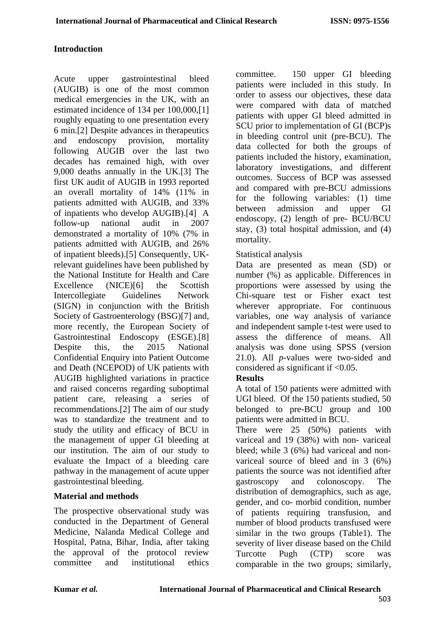## **Introduction**

Acute upper gastrointestinal bleed (AUGIB) is one of the most common medical emergencies in the UK, with an estimated incidence of 134 per 100,000,[1] roughly equating to one presentation every 6 min.[2] Despite advances in therapeutics and endoscopy provision, mortality following AUGIB over the last two decades has remained high, with over 9,000 deaths annually in the UK.[3] The first UK audit of AUGIB in 1993 reported an overall mortality of 14% (11% in patients admitted with AUGIB, and 33% of inpatients who develop AUGIB).[4] A follow-up national audit in 2007 demonstrated a mortality of 10% (7% in patients admitted with AUGIB, and 26% of inpatient bleeds).[5] Consequently, UKrelevant guidelines have been published by the National Institute for Health and Care Excellence (NICE)[6] the Scottish Intercollegiate Guidelines Network (SIGN) in conjunction with the British Society of Gastroenterology (BSG)[7] and, more recently, the European Society of Gastrointestinal Endoscopy (ESGE).[8] Despite this, the 2015 National Confidential Enquiry into Patient Outcome and Death (NCEPOD) of UK patients with AUGIB highlighted variations in practice and raised concerns regarding suboptimal patient care, releasing a series of recommendations.[2] The aim of our study was to standardize the treatment and to study the utility and efficacy of BCU in the management of upper GI bleeding at our institution. The aim of our study to evaluate the Impact of a bleeding care pathway in the management of acute upper gastrointestinal bleeding.

## **Material and methods**

The prospective observational study was conducted in the Department of General Medicine, Nalanda Medical College and Hospital, Patna, Bihar, India, after taking the approval of the protocol review committee and institutional ethics

committee. 150 upper GI bleeding patients were included in this study. In order to assess our objectives, these data were compared with data of matched patients with upper GI bleed admitted in SCU prior to implementation of GI (BCP)s in bleeding control unit (pre-BCU). The data collected for both the groups of patients included the history, examination, laboratory investigations, and different outcomes. Success of BCP was assessed and compared with pre-BCU admissions for the following variables: (1) time between admission and upper GI endoscopy, (2) length of pre- BCU/BCU stay, (3) total hospital admission, and (4) mortality.

## Statistical analysis

Data are presented as mean (SD) or number (%) as applicable. Differences in proportions were assessed by using the Chi-square test or Fisher exact test wherever appropriate. For continuous variables, one way analysis of variance and independent sample t-test were used to assess the difference of means. All analysis was done using SPSS (version 21.0). All *p*-values were two-sided and considered as significant if  $< 0.05$ .

## **Results**

A total of 150 patients were admitted with UGI bleed. Of the 150 patients studied, 50 belonged to pre-BCU group and 100 patients were admitted in BCU.

There were 25 (50%) patients with variceal and 19 (38%) with non- variceal bleed; while 3 (6%) had variceal and nonvariceal source of bleed and in 3 (6%) patients the source was not identified after gastroscopy and colonoscopy. The distribution of demographics, such as age, gender, and co- morbid condition, number of patients requiring transfusion, and number of blood products transfused were similar in the two groups (Table1). The severity of liver disease based on the Child Turcotte Pugh (CTP) score was comparable in the two groups; similarly,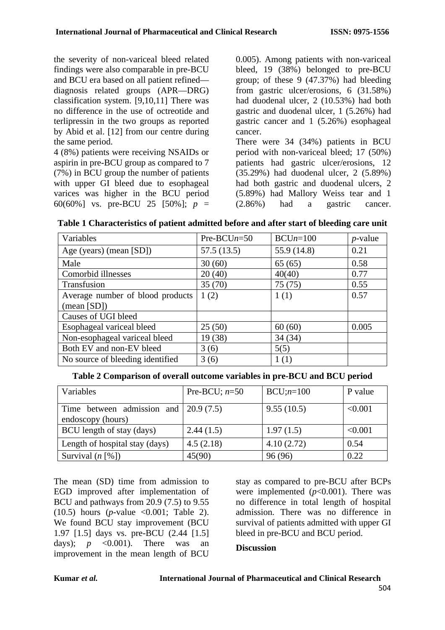the severity of non-variceal bleed related findings were also comparable in pre-BCU and BCU era based on all patient refined diagnosis related groups (APR—DRG) classification system. [9,10,11] There was no difference in the use of octreotide and terlipressin in the two groups as reported by Abid et al. [12] from our centre during the same period.

4 (8%) patients were receiving NSAIDs or aspirin in pre-BCU group as compared to 7 (7%) in BCU group the number of patients with upper GI bleed due to esophageal varices was higher in the BCU period 60(60%] vs. pre-BCU 25 [50%]; *p* = 0.005). Among patients with non-variceal bleed, 19 (38%) belonged to pre-BCU group; of these 9 (47.37%) had bleeding from gastric ulcer/erosions, 6 (31.58%) had duodenal ulcer, 2 (10.53%) had both gastric and duodenal ulcer, 1 (5.26%) had gastric cancer and 1 (5.26%) esophageal cancer.

There were 34 (34%) patients in BCU period with non-variceal bleed; 17 (50%) patients had gastric ulcer/erosions, 12 (35.29%) had duodenal ulcer, 2 (5.89%) had both gastric and duodenal ulcers, 2 (5.89%) had Mallory Weiss tear and 1 (2.86%) had a gastric cancer.

|  | Table 1 Characteristics of patient admitted before and after start of bleeding care unit |  |  |  |  |  |  |  |
|--|------------------------------------------------------------------------------------------|--|--|--|--|--|--|--|
|--|------------------------------------------------------------------------------------------|--|--|--|--|--|--|--|

| Variables                        | $Pre-BCUn=50$ | $BCUn=100$  | $p$ -value |
|----------------------------------|---------------|-------------|------------|
| Age (years) (mean [SD])          | 57.5(13.5)    | 55.9 (14.8) | 0.21       |
| Male                             | 30(60)        | 65(65)      | 0.58       |
| Comorbid illnesses               | 20(40)        | 40(40)      | 0.77       |
| Transfusion                      | 35(70)        | 75(75)      | 0.55       |
| Average number of blood products | 1(2)          | 1(1)        | 0.57       |
| $(\text{mean } [SD])$            |               |             |            |
| Causes of UGI bleed              |               |             |            |
| Esophageal variceal bleed        | 25(50)        | 60(60)      | 0.005      |
| Non-esophageal variceal bleed    | 19 (38)       | 34(34)      |            |
| Both EV and non-EV bleed         | 3(6)          | 5(5)        |            |
| No source of bleeding identified | 3(6)          | 1(1)        |            |

**Table 2 Comparison of overall outcome variables in pre-BCU and BCU period**

| Variables                                                          | Pre-BCU; $n=50$ | $BCU; n=100$ | P value |
|--------------------------------------------------------------------|-----------------|--------------|---------|
| Time between admission and $\vert$ 20.9 (7.5)<br>endoscopy (hours) |                 | 9.55(10.5)   | < 0.001 |
| BCU length of stay (days)                                          | 2.44(1.5)       | 1.97(1.5)    | < 0.001 |
| Length of hospital stay (days)                                     | 4.5(2.18)       | 4.10(2.72)   | 0.54    |
| Survival $(n \lceil \frac{6}{6} \rceil)$                           | 45(90)          | 96 (96)      | 0.22    |

The mean (SD) time from admission to EGD improved after implementation of BCU and pathways from 20.9 (7.5) to 9.55 (10.5) hours (*p*-value <0.001; Table 2). We found BCU stay improvement (BCU 1.97 [1.5] days vs. pre-BCU (2.44 [1.5] days);  $p \leq 0.001$ ). There was an improvement in the mean length of BCU

stay as compared to pre-BCU after BCPs were implemented  $(p<0.001)$ . There was no difference in total length of hospital admission. There was no difference in survival of patients admitted with upper GI bleed in pre-BCU and BCU period.

#### **Discussion**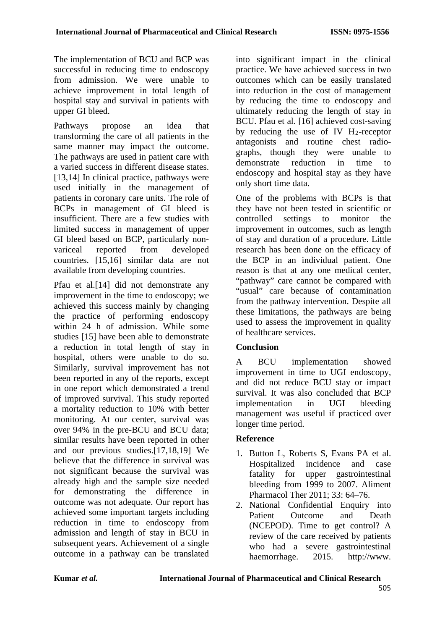The implementation of BCU and BCP was successful in reducing time to endoscopy from admission. We were unable to achieve improvement in total length of hospital stay and survival in patients with upper GI bleed.

Pathways propose an idea that transforming the care of all patients in the same manner may impact the outcome. The pathways are used in patient care with a varied success in different disease states. [13,14] In clinical practice, pathways were used initially in the management of patients in coronary care units. The role of BCPs in management of GI bleed is insufficient. There are a few studies with limited success in management of upper GI bleed based on BCP, particularly nonvariceal reported from developed countries. [15,16] similar data are not available from developing countries.

Pfau et al.[14] did not demonstrate any improvement in the time to endoscopy; we achieved this success mainly by changing the practice of performing endoscopy within 24 h of admission. While some studies [15] have been able to demonstrate a reduction in total length of stay in hospital, others were unable to do so. Similarly, survival improvement has not been reported in any of the reports, except in one report which demonstrated a trend of improved survival. This study reported a mortality reduction to 10% with better monitoring. At our center, survival was over 94% in the pre-BCU and BCU data; similar results have been reported in other and our previous studies.[17,18,19] We believe that the difference in survival was not significant because the survival was already high and the sample size needed for demonstrating the difference in outcome was not adequate. Our report has achieved some important targets including reduction in time to endoscopy from admission and length of stay in BCU in subsequent years. Achievement of a single outcome in a pathway can be translated into significant impact in the clinical practice. We have achieved success in two outcomes which can be easily translated into reduction in the cost of management by reducing the time to endoscopy and ultimately reducing the length of stay in BCU. Pfau et al. [16] achieved cost-saving by reducing the use of IV  $H_2$ -receptor antagonists and routine chest radiographs, though they were unable to demonstrate reduction in time to endoscopy and hospital stay as they have only short time data.

One of the problems with BCPs is that they have not been tested in scientific or controlled settings to monitor the improvement in outcomes, such as length of stay and duration of a procedure. Little research has been done on the efficacy of the BCP in an individual patient. One reason is that at any one medical center, "pathway" care cannot be compared with "usual" care because of contamination from the pathway intervention. Despite all these limitations, the pathways are being used to assess the improvement in quality of healthcare services.

# **Conclusion**

A BCU implementation showed improvement in time to UGI endoscopy, and did not reduce BCU stay or impact survival. It was also concluded that BCP implementation in UGI bleeding management was useful if practiced over longer time period.

# **Reference**

- 1. Button L, Roberts S, Evans PA et al. Hospitalized incidence and case fatality for upper gastrointestinal bleeding from 1999 to 2007. Aliment Pharmacol Ther 2011; 33: 64–76.
- 2. National Confidential Enquiry into Patient Outcome and Death (NCEPOD). Time to get control? A review of the care received by patients who had a severe gastrointestinal haemorrhage. 2015. http://www.